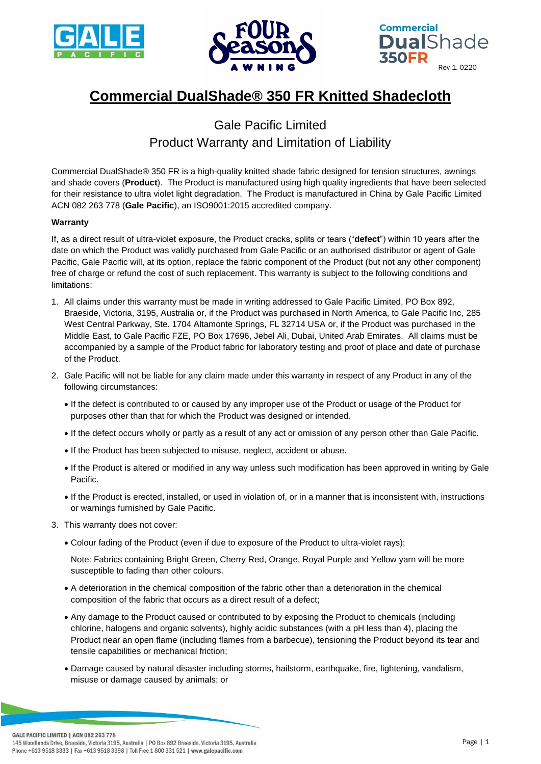





## **Commercial DualShade® 350 FR Knitted Shadecloth**

## Gale Pacific Limited Product Warranty and Limitation of Liability

Commercial DualShade® 350 FR is a high-quality knitted shade fabric designed for tension structures, awnings and shade covers (**Product**). The Product is manufactured using high quality ingredients that have been selected for their resistance to ultra violet light degradation. The Product is manufactured in China by Gale Pacific Limited ACN 082 263 778 (**Gale Pacific**), an ISO9001:2015 accredited company.

## **Warranty**

If, as a direct result of ultra-violet exposure, the Product cracks, splits or tears ("**defect**") within 10 years after the date on which the Product was validly purchased from Gale Pacific or an authorised distributor or agent of Gale Pacific, Gale Pacific will, at its option, replace the fabric component of the Product (but not any other component) free of charge or refund the cost of such replacement. This warranty is subject to the following conditions and limitations:

- 1. All claims under this warranty must be made in writing addressed to Gale Pacific Limited, PO Box 892, Braeside, Victoria, 3195, Australia or, if the Product was purchased in North America, to Gale Pacific Inc, 285 West Central Parkway, Ste. 1704 Altamonte Springs, FL 32714 USA or, if the Product was purchased in the Middle East, to Gale Pacific FZE, PO Box 17696, Jebel Ali, Dubai, United Arab Emirates. All claims must be accompanied by a sample of the Product fabric for laboratory testing and proof of place and date of purchase of the Product.
- 2. Gale Pacific will not be liable for any claim made under this warranty in respect of any Product in any of the following circumstances:
	- If the defect is contributed to or caused by any improper use of the Product or usage of the Product for purposes other than that for which the Product was designed or intended.
	- If the defect occurs wholly or partly as a result of any act or omission of any person other than Gale Pacific.
	- If the Product has been subjected to misuse, neglect, accident or abuse.
	- If the Product is altered or modified in any way unless such modification has been approved in writing by Gale Pacific.
	- If the Product is erected, installed, or used in violation of, or in a manner that is inconsistent with, instructions or warnings furnished by Gale Pacific.
- 3. This warranty does not cover:
	- Colour fading of the Product (even if due to exposure of the Product to ultra-violet rays);

Note: Fabrics containing Bright Green, Cherry Red, Orange, Royal Purple and Yellow yarn will be more susceptible to fading than other colours.

- A deterioration in the chemical composition of the fabric other than a deterioration in the chemical composition of the fabric that occurs as a direct result of a defect;
- Any damage to the Product caused or contributed to by exposing the Product to chemicals (including chlorine, halogens and organic solvents), highly acidic substances (with a pH less than 4), placing the Product near an open flame (including flames from a barbecue), tensioning the Product beyond its tear and tensile capabilities or mechanical friction;
- Damage caused by natural disaster including storms, hailstorm, earthquake, fire, lightening, vandalism, misuse or damage caused by animals; or